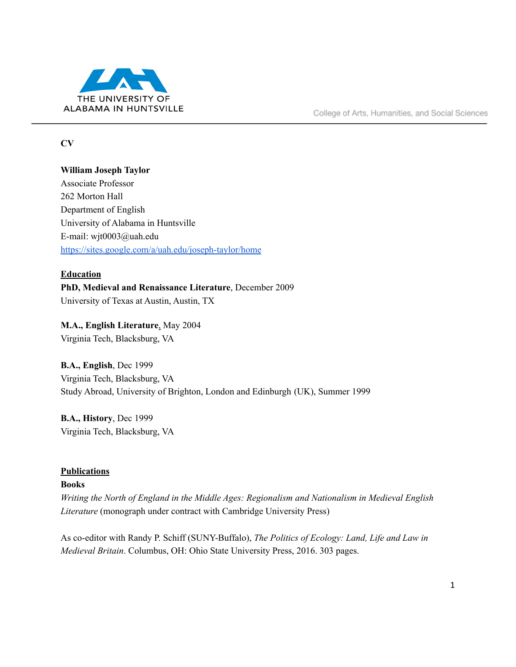

College of Arts, Humanities, and Social Sciences

# **CV**

**William Joseph Taylor** Associate Professor 262 Morton Hall Department of English University of Alabama in Huntsville E-mail: wjt0003@uah.edu <https://sites.google.com/a/uah.edu/joseph-taylor/home>

## **Education**

**PhD, Medieval and Renaissance Literature**, December 2009 University of Texas at Austin, Austin, TX

## **M.A., English Literature**, May 2004

Virginia Tech, Blacksburg, VA

## **B.A., English**, Dec 1999

Virginia Tech, Blacksburg, VA Study Abroad, University of Brighton, London and Edinburgh (UK), Summer 1999

# **B.A., History**, Dec 1999 Virginia Tech, Blacksburg, VA

## **Publications**

# **Books**

*Writing the North of England in the Middle Ages: Regionalism and Nationalism in Medieval English Literature* (monograph under contract with Cambridge University Press)

As co-editor with Randy P. Schiff (SUNY-Buffalo), *The Politics of Ecology: Land, Life and Law in Medieval Britain*. Columbus, OH: Ohio State University Press, 2016. 303 pages.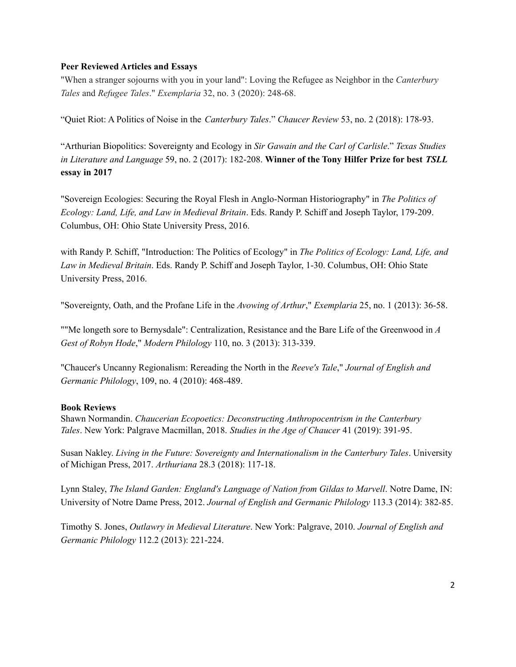## **Peer Reviewed Articles and Essays**

"When a stranger sojourns with you in your land": Loving the Refugee as Neighbor in the *Canterbury Tales* and *Refugee Tales*." *Exemplaria* 32, no. 3 (2020): 248-68.

"Quiet Riot: A Politics of Noise in the *Canterbury Tales*." *Chaucer Review* 53, no. 2 (2018): 178-93.

"Arthurian Biopolitics: Sovereignty and Ecology in *Sir Gawain and the Carl of Carlisle*." *Texas Studies in Literature and Language* 59, no. 2 (2017): 182-208. **Winner of the Tony Hilfer Prize for best** *TSLL* **essay in 2017**

"Sovereign Ecologies: Securing the Royal Flesh in Anglo-Norman Historiography" in *The Politics of Ecology: Land, Life, and Law in Medieval Britain*. Eds. Randy P. Schiff and Joseph Taylor, 179-209. Columbus, OH: Ohio State University Press, 2016.

with Randy P. Schiff, "Introduction: The Politics of Ecology" in *The Politics of Ecology: Land, Life, and Law in Medieval Britain*. Eds. Randy P. Schiff and Joseph Taylor, 1-30. Columbus, OH: Ohio State University Press, 2016.

"Sovereignty, Oath, and the Profane Life in the *Avowing of Arthur*," *Exemplaria* 25, no. 1 (2013): 36-58.

""Me longeth sore to Bernysdale": Centralization, Resistance and the Bare Life of the Greenwood in *A Gest of Robyn Hode*," *Modern Philology* 110, no. 3 (2013): 313-339.

"Chaucer's Uncanny Regionalism: Rereading the North in the *Reeve's Tale*," *Journal of English and Germanic Philology*, 109, no. 4 (2010): 468-489.

#### **Book Reviews**

Shawn Normandin. *Chaucerian Ecopoetics: Deconstructing Anthropocentrism in the Canterbury Tales*. New York: Palgrave Macmillan, 2018. *Studies in the Age of Chaucer* 41 (2019): 391-95.

Susan Nakley. *Living in the Future: Sovereignty and Internationalism in the Canterbury Tales*. University of Michigan Press, 2017. *Arthuriana* 28.3 (2018): 117-18.

Lynn Staley, *The Island Garden: England's Language of Nation from Gildas to Marvell*. Notre Dame, IN: University of Notre Dame Press, 2012. *Journal of English and Germanic Philology* 113.3 (2014): 382-85.

Timothy S. Jones, *Outlawry in Medieval Literature*. New York: Palgrave, 2010. *Journal of English and Germanic Philology* 112.2 (2013): 221-224.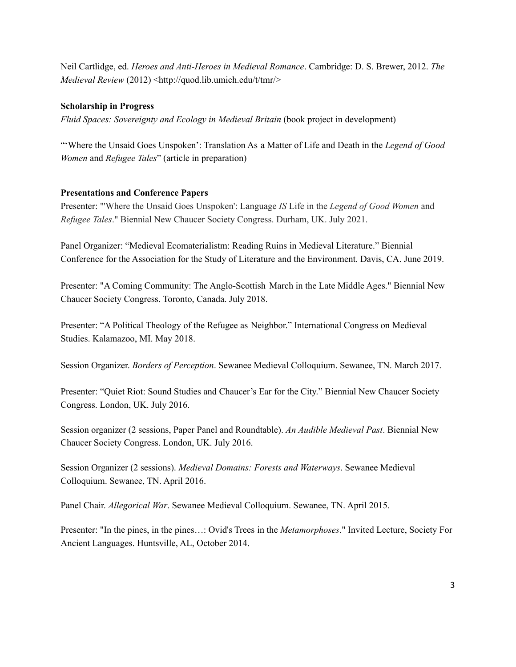Neil Cartlidge, ed. *Heroes and Anti-Heroes in Medieval Romance*. Cambridge: D. S. Brewer, 2012. *The Medieval Review* (2012) <http://quod.lib.umich.edu/t/tmr/>

# **Scholarship in Progress**

*Fluid Spaces: Sovereignty and Ecology in Medieval Britain* (book project in development)

"'Where the Unsaid Goes Unspoken': Translation As a Matter of Life and Death in the *Legend of Good Women* and *Refugee Tales*" (article in preparation)

## **Presentations and Conference Papers**

Presenter: "'Where the Unsaid Goes Unspoken': Language *IS* Life in the *Legend of Good Women* and *Refugee Tales*." Biennial New Chaucer Society Congress. Durham, UK. July 2021.

Panel Organizer: "Medieval Ecomaterialistm: Reading Ruins in Medieval Literature." Biennial Conference for the Association for the Study of Literature and the Environment. Davis, CA. June 2019.

Presenter: "A Coming Community: The Anglo-Scottish March in the Late Middle Ages." Biennial New Chaucer Society Congress. Toronto, Canada. July 2018.

Presenter: "A Political Theology of the Refugee as Neighbor." International Congress on Medieval Studies. Kalamazoo, MI. May 2018.

Session Organizer. *Borders of Perception*. Sewanee Medieval Colloquium. Sewanee, TN. March 2017.

Presenter: "Quiet Riot: Sound Studies and Chaucer's Ear for the City." Biennial New Chaucer Society Congress. London, UK. July 2016.

Session organizer (2 sessions, Paper Panel and Roundtable). *An Audible Medieval Past*. Biennial New Chaucer Society Congress. London, UK. July 2016.

Session Organizer (2 sessions). *Medieval Domains: Forests and Waterways*. Sewanee Medieval Colloquium. Sewanee, TN. April 2016.

Panel Chair. *Allegorical War*. Sewanee Medieval Colloquium. Sewanee, TN. April 2015.

Presenter: "In the pines, in the pines…: Ovid's Trees in the *Metamorphoses*." Invited Lecture, Society For Ancient Languages. Huntsville, AL, October 2014.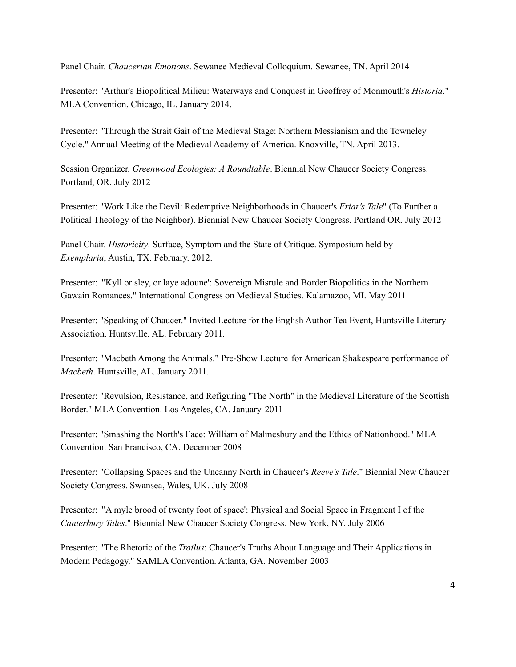Panel Chair. *Chaucerian Emotions*. Sewanee Medieval Colloquium. Sewanee, TN. April 2014

Presenter: "Arthur's Biopolitical Milieu: Waterways and Conquest in Geoffrey of Monmouth's *Historia*." MLA Convention, Chicago, IL. January 2014.

Presenter: "Through the Strait Gait of the Medieval Stage: Northern Messianism and the Towneley Cycle." Annual Meeting of the Medieval Academy of America. Knoxville, TN. April 2013.

Session Organizer. *Greenwood Ecologies: A Roundtable*. Biennial New Chaucer Society Congress. Portland, OR. July 2012

Presenter: "Work Like the Devil: Redemptive Neighborhoods in Chaucer's *Friar's Tale*" (To Further a Political Theology of the Neighbor). Biennial New Chaucer Society Congress. Portland OR. July 2012

Panel Chair. *Historicity*. Surface, Symptom and the State of Critique. Symposium held by *Exemplaria*, Austin, TX. February. 2012.

Presenter: "'Kyll or sley, or laye adoune': Sovereign Misrule and Border Biopolitics in the Northern Gawain Romances." International Congress on Medieval Studies. Kalamazoo, MI. May 2011

Presenter: "Speaking of Chaucer." Invited Lecture for the English Author Tea Event, Huntsville Literary Association. Huntsville, AL. February 2011.

Presenter: "Macbeth Among the Animals." Pre-Show Lecture for American Shakespeare performance of *Macbeth*. Huntsville, AL. January 2011.

Presenter: "Revulsion, Resistance, and Refiguring "The North" in the Medieval Literature of the Scottish Border." MLA Convention. Los Angeles, CA. January 2011

Presenter: "Smashing the North's Face: William of Malmesbury and the Ethics of Nationhood." MLA Convention. San Francisco, CA. December 2008

Presenter: "Collapsing Spaces and the Uncanny North in Chaucer's *Reeve's Tale*." Biennial New Chaucer Society Congress. Swansea, Wales, UK. July 2008

Presenter: "'A myle brood of twenty foot of space': Physical and Social Space in Fragment I of the *Canterbury Tales*." Biennial New Chaucer Society Congress. New York, NY. July 2006

Presenter: "The Rhetoric of the *Troilus*: Chaucer's Truths About Language and Their Applications in Modern Pedagogy." SAMLA Convention. Atlanta, GA. November 2003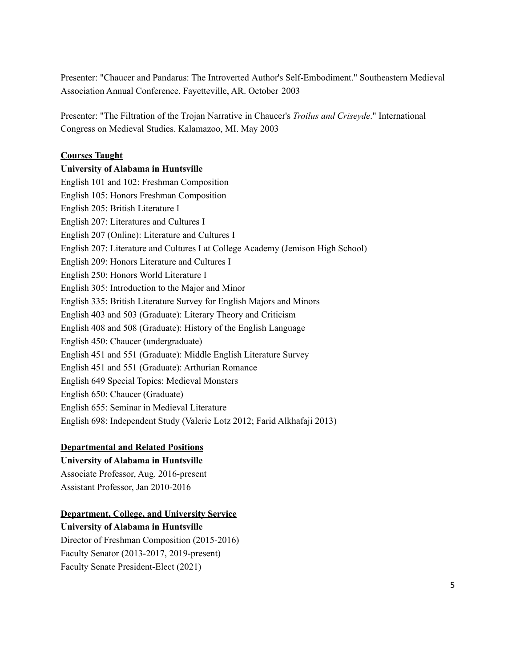Presenter: "Chaucer and Pandarus: The Introverted Author's Self-Embodiment." Southeastern Medieval Association Annual Conference. Fayetteville, AR. October 2003

Presenter: "The Filtration of the Trojan Narrative in Chaucer's *Troilus and Criseyde*." International Congress on Medieval Studies. Kalamazoo, MI. May 2003

## **Courses Taught**

# **University of Alabama in Huntsville**

English 101 and 102: Freshman Composition English 105: Honors Freshman Composition English 205: British Literature I English 207: Literatures and Cultures I English 207 (Online): Literature and Cultures I English 207: Literature and Cultures I at College Academy (Jemison High School) English 209: Honors Literature and Cultures I English 250: Honors World Literature I English 305: Introduction to the Major and Minor English 335: British Literature Survey for English Majors and Minors English 403 and 503 (Graduate): Literary Theory and Criticism English 408 and 508 (Graduate): History of the English Language English 450: Chaucer (undergraduate) English 451 and 551 (Graduate): Middle English Literature Survey English 451 and 551 (Graduate): Arthurian Romance English 649 Special Topics: Medieval Monsters English 650: Chaucer (Graduate) English 655: Seminar in Medieval Literature English 698: Independent Study (Valerie Lotz 2012; Farid Alkhafaji 2013)

# **Departmental and Related Positions**

## **University of Alabama in Huntsville**

Associate Professor, Aug. 2016-present Assistant Professor, Jan 2010-2016

## **Department, College, and University Service**

**University of Alabama in Huntsville**

Director of Freshman Composition (2015-2016) Faculty Senator (2013-2017, 2019-present) Faculty Senate President-Elect (2021)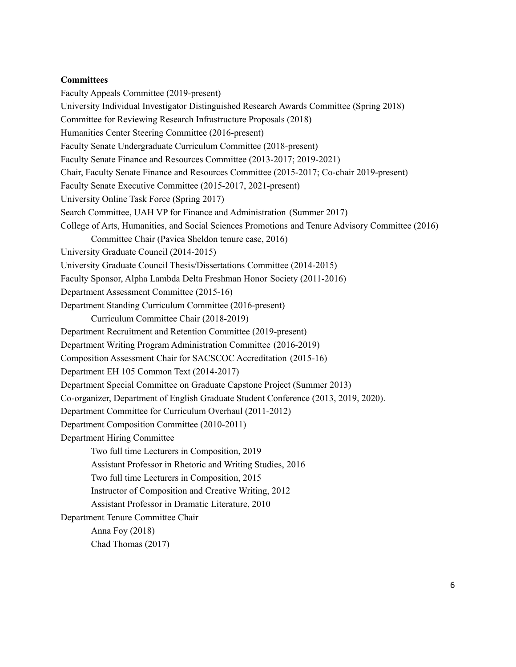#### **Committees**

Faculty Appeals Committee (2019-present) University Individual Investigator Distinguished Research Awards Committee (Spring 2018) Committee for Reviewing Research Infrastructure Proposals (2018) Humanities Center Steering Committee (2016-present) Faculty Senate Undergraduate Curriculum Committee (2018-present) Faculty Senate Finance and Resources Committee (2013-2017; 2019-2021) Chair, Faculty Senate Finance and Resources Committee (2015-2017; Co-chair 2019-present) Faculty Senate Executive Committee (2015-2017, 2021-present) University Online Task Force (Spring 2017) Search Committee, UAH VP for Finance and Administration (Summer 2017) College of Arts, Humanities, and Social Sciences Promotions and Tenure Advisory Committee (2016) Committee Chair (Pavica Sheldon tenure case, 2016) University Graduate Council (2014-2015) University Graduate Council Thesis/Dissertations Committee (2014-2015) Faculty Sponsor, Alpha Lambda Delta Freshman Honor Society (2011-2016) Department Assessment Committee (2015-16) Department Standing Curriculum Committee (2016-present) Curriculum Committee Chair (2018-2019) Department Recruitment and Retention Committee (2019-present) Department Writing Program Administration Committee (2016-2019) Composition Assessment Chair for SACSCOC Accreditation (2015-16) Department EH 105 Common Text (2014-2017) Department Special Committee on Graduate Capstone Project (Summer 2013) Co-organizer, Department of English Graduate Student Conference (2013, 2019, 2020). Department Committee for Curriculum Overhaul (2011-2012) Department Composition Committee (2010-2011) Department Hiring Committee Two full time Lecturers in Composition, 2019 Assistant Professor in Rhetoric and Writing Studies, 2016 Two full time Lecturers in Composition, 2015 Instructor of Composition and Creative Writing, 2012 Assistant Professor in Dramatic Literature, 2010 Department Tenure Committee Chair Anna Foy (2018) Chad Thomas (2017)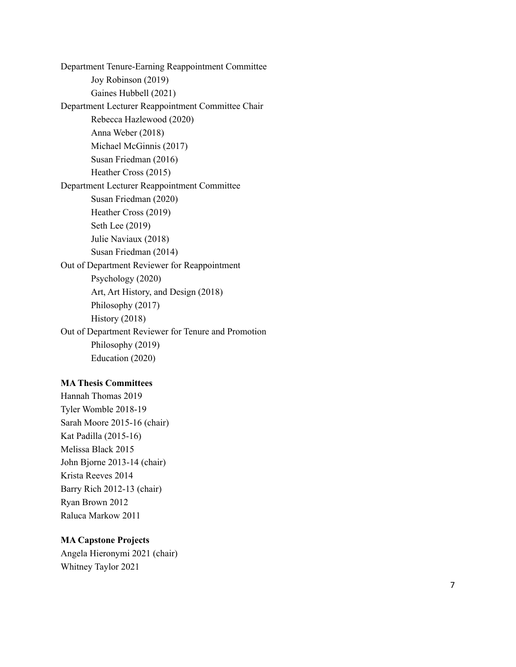Department Tenure-Earning Reappointment Committee Joy Robinson (2019) Gaines Hubbell (2021) Department Lecturer Reappointment Committee Chair Rebecca Hazlewood (2020) Anna Weber (2018) Michael McGinnis (2017) Susan Friedman (2016) Heather Cross (2015) Department Lecturer Reappointment Committee Susan Friedman (2020) Heather Cross (2019) Seth Lee (2019) Julie Naviaux (2018) Susan Friedman (2014) Out of Department Reviewer for Reappointment Psychology (2020) Art, Art History, and Design (2018) Philosophy (2017)  $History (2018)$ Out of Department Reviewer for Tenure and Promotion Philosophy (2019) Education  $(2020)$ 

#### **MA Thesis Committees**

Hannah Thomas 2019 Tyler Womble 2018-19 Sarah Moore 2015-16 (chair) Kat Padilla (2015-16) Melissa Black 2015 John Bjorne 2013-14 (chair) Krista Reeves 2014 Barry Rich 2012-13 (chair) Ryan Brown 2012 Raluca Markow 2011

#### **MA Capstone Projects**

Angela Hieronymi 2021 (chair) Whitney Taylor 2021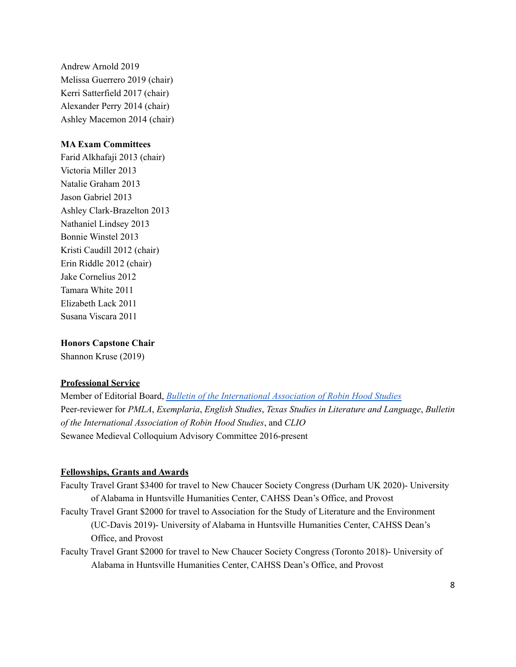Andrew Arnold 2019 Melissa Guerrero 2019 (chair) Kerri Satterfield 2017 (chair) Alexander Perry 2014 (chair) Ashley Macemon 2014 (chair)

## **MA Exam Committees**

Farid Alkhafaji 2013 (chair) Victoria Miller 2013 Natalie Graham 2013 Jason Gabriel 2013 Ashley Clark-Brazelton 2013 Nathaniel Lindsey 2013 Bonnie Winstel 2013 Kristi Caudill 2012 (chair) Erin Riddle 2012 (chair) Jake Cornelius 2012 Tamara White 2011 Elizabeth Lack 2011 Susana Viscara 2011

## **Honors Capstone Chair**

Shannon Kruse (2019)

## **Professional Service**

Member of Editorial Board, *Bulletin of the [International](http://bulletin.iarhs.org/index.php/IARHSBulletin/index) Association of Robin Hood Studies* Peer-reviewer for *PMLA*, *Exemplaria*, *English Studies*, *Texas Studies in Literature and Language*, *Bulletin of the International Association of Robin Hood Studies*, and *CLIO* Sewanee Medieval Colloquium Advisory Committee 2016-present

## **Fellowships, Grants and Awards**

- Faculty Travel Grant \$3400 for travel to New Chaucer Society Congress (Durham UK 2020)- University of Alabama in Huntsville Humanities Center, CAHSS Dean's Office, and Provost
- Faculty Travel Grant \$2000 for travel to Association for the Study of Literature and the Environment (UC-Davis 2019)- University of Alabama in Huntsville Humanities Center, CAHSS Dean's Office, and Provost
- Faculty Travel Grant \$2000 for travel to New Chaucer Society Congress (Toronto 2018)- University of Alabama in Huntsville Humanities Center, CAHSS Dean's Office, and Provost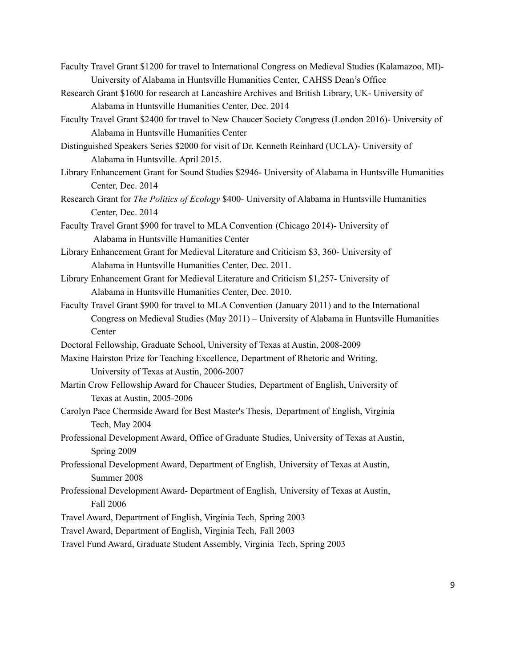- Faculty Travel Grant \$1200 for travel to International Congress on Medieval Studies (Kalamazoo, MI)- University of Alabama in Huntsville Humanities Center, CAHSS Dean's Office
- Research Grant \$1600 for research at Lancashire Archives and British Library, UK- University of Alabama in Huntsville Humanities Center, Dec. 2014
- Faculty Travel Grant \$2400 for travel to New Chaucer Society Congress (London 2016)- University of Alabama in Huntsville Humanities Center
- Distinguished Speakers Series \$2000 for visit of Dr. Kenneth Reinhard (UCLA)- University of Alabama in Huntsville. April 2015.
- Library Enhancement Grant for Sound Studies \$2946- University of Alabama in Huntsville Humanities Center, Dec. 2014
- Research Grant for *The Politics of Ecology* \$400- University of Alabama in Huntsville Humanities Center, Dec. 2014
- Faculty Travel Grant \$900 for travel to MLA Convention (Chicago 2014)- University of Alabama in Huntsville Humanities Center
- Library Enhancement Grant for Medieval Literature and Criticism \$3, 360- University of Alabama in Huntsville Humanities Center, Dec. 2011.
- Library Enhancement Grant for Medieval Literature and Criticism \$1,257- University of Alabama in Huntsville Humanities Center, Dec. 2010.
- Faculty Travel Grant \$900 for travel to MLA Convention (January 2011) and to the International Congress on Medieval Studies (May 2011) – University of Alabama in Huntsville Humanities **Center**
- Doctoral Fellowship, Graduate School, University of Texas at Austin, 2008-2009
- Maxine Hairston Prize for Teaching Excellence, Department of Rhetoric and Writing, University of Texas at Austin, 2006-2007
- Martin Crow Fellowship Award for Chaucer Studies, Department of English, University of Texas at Austin, 2005-2006
- Carolyn Pace Chermside Award for Best Master's Thesis, Department of English, Virginia Tech, May 2004
- Professional Development Award, Office of Graduate Studies, University of Texas at Austin, Spring 2009
- Professional Development Award, Department of English, University of Texas at Austin, Summer 2008
- Professional Development Award- Department of English, University of Texas at Austin, Fall 2006
- Travel Award, Department of English, Virginia Tech, Spring 2003
- Travel Award, Department of English, Virginia Tech, Fall 2003
- Travel Fund Award, Graduate Student Assembly, Virginia Tech, Spring 2003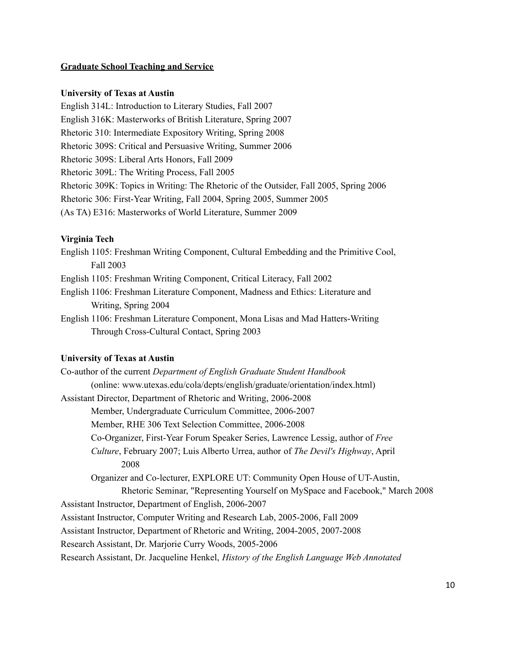#### **Graduate School Teaching and Service**

#### **University of Texas at Austin**

English 314L: Introduction to Literary Studies, Fall 2007 English 316K: Masterworks of British Literature, Spring 2007 Rhetoric 310: Intermediate Expository Writing, Spring 2008 Rhetoric 309S: Critical and Persuasive Writing, Summer 2006 Rhetoric 309S: Liberal Arts Honors, Fall 2009 Rhetoric 309L: The Writing Process, Fall 2005 Rhetoric 309K: Topics in Writing: The Rhetoric of the Outsider, Fall 2005, Spring 2006 Rhetoric 306: First-Year Writing, Fall 2004, Spring 2005, Summer 2005 (As TA) E316: Masterworks of World Literature, Summer 2009

#### **Virginia Tech**

English 1105: Freshman Writing Component, Cultural Embedding and the Primitive Cool, Fall 2003

English 1105: Freshman Writing Component, Critical Literacy, Fall 2002

- English 1106: Freshman Literature Component, Madness and Ethics: Literature and Writing, Spring 2004
- English 1106: Freshman Literature Component, Mona Lisas and Mad Hatters-Writing Through Cross-Cultural Contact, Spring 2003

#### **University of Texas at Austin**

Co-author of the current *Department of English Graduate Student Handbook* (online: www.utexas.edu/cola/depts/english/graduate/orientation/index.html) Assistant Director, Department of Rhetoric and Writing, 2006-2008 Member, Undergraduate Curriculum Committee, 2006-2007 Member, RHE 306 Text Selection Committee, 2006-2008 Co-Organizer, First-Year Forum Speaker Series, Lawrence Lessig, author of *Free Culture*, February 2007; Luis Alberto Urrea, author of *The Devil's Highway*, April 2008 Organizer and Co-lecturer, EXPLORE UT: Community Open House of UT-Austin, Rhetoric Seminar, "Representing Yourself on MySpace and Facebook," March 2008 Assistant Instructor, Department of English, 2006-2007 Assistant Instructor, Computer Writing and Research Lab, 2005-2006, Fall 2009 Assistant Instructor, Department of Rhetoric and Writing, 2004-2005, 2007-2008 Research Assistant, Dr. Marjorie Curry Woods, 2005-2006 Research Assistant, Dr. Jacqueline Henkel, *History of the English Language Web Annotated*